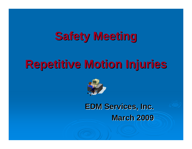## **Safety Meeting Safety Meeting**

# **Repetitive Motion Injuries Repetitive Motion Injuries**



**EDM Services, Inc. EDM Services, Inc. March 2009 March 2009**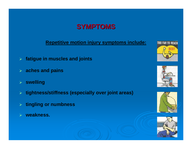### **SYMPTOMS SYMPTOMS**

**Repetitive motion injury symptoms include:**

- ¾ **fatigue in muscles and joints**
- ¾ **aches and pains**
- ¾ **swelling**
- $\blacktriangleright$ **tightness/stiffness (especially over joint areas)**
- ¾ **tingling or numbness**
- ¾**weakness.**







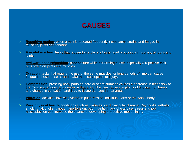

- ¾**Repetitive motion**: when a task is repeated frequently it can cause strains and fatigue in muscles, joints and tendons.
- ¾**Forceful exertion**: tasks that require force place a higher load or stress on muscles, tendons and joints.
- ¾**Awkward posture/position:** poor posture while performing a task, especially a repetitive task, puts strain on joints and muscles.
- ¾**Duration:** tasks that require the use of the same muscles for long periods of time can cause fatigue in those muscles and make them susceptible to injury.
- ¾**Compression:** pressing body parts on hard or sharp surfaces causes a decrease in blood flow to the muscles, tendons and nerves in that area. This can cause symptoms of tingling, numbness and change in sensation, and lead
- ¾**Vibration**: activities involving vibration put stress on individual parts or the whole body.
- ¾Poor physical health: conditions such as diabetes, cardiovascular disease, Raynaud's, arthritis, smoking, alcoholism, gout, hypertension, poor nutrition, lack of exercise, stress and job dissatisfaction can increase the ch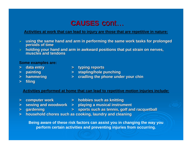### **CAUSES** cont…

### **Activities at work that can lead to injury are those that are repetitive in nature:**

- $\blacktriangleright$ **using the same hand and arm in performing the same work tasks for prolonged periods of time**
- → **holding your hand and arm in awkward po**sitions that put strain on nerves,<br>muscles and tendons **muscles and tendons**

#### **Some examples are:**

- 
- 
- 
- $>$  data entry **data entry because typing reports**
- **> painting painting > stapling/hole punching > stapling/hole punching > stapling/hole punching > stapling**
- $\blacktriangleright$  **hammering**  $\blacktriangleright$  **cradling the phone under your chin**
- **> filing**

### **Activities performed at home that can lead to repetitive motion injuries include:**

- 
- **> computer work computer work> hobbies such as knitting hobbies such as knitting**
- 
- $>$  **sewing and woodwork**  $>$  **playing a musical instrument**
- 
- **> gardening gardening > sports such as tennis, golf and racquetball sports such as tennis, golf and racquetball**
- **> household chores such as cooking, laundry and cleaning household chores such as cooking, laundry and cleaning**

**Being aware of these risk factors can assist you in changing the way you perform certain activities and preventing injuries from occurring.**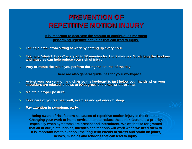## **PREVENTION OF REPETITIVE MOTION INJURY REPETITIVE MOTION INJURY**

**It is important to decrease the amount of continuous time spent performing repetitive activities that can lead to injury.**

- ¾Taking a break from sitting at work by getting up every hour.
- ¾Taking a "stretch break" every 20 to 30 minutes for 1 to 2 minutes. Stretching the tendons and muscles can help reduce your risk of injury.
- ¾**Vary or rotate the tasks you perform during the course of the day.**

**There are also general guidelines for your workspace:**

- ¾Adjust your workstation and chair so the keyboard is just below your hands when your shoulders are relaxed, elbows at 90 degrees and arms/wrists are flat.
- $\blacktriangleright$ **Maintain proper posture.**
- ¾**Take care of yourself-eat well, exercise and get enough sleep.**
- $\blacktriangleright$ **Pay attention to symptoms early.**

**Being aware of risk factors as causes of repetitive motion injury is the first step. Changing your work or home environment to reduce these risk factors is a priority, especially when symptoms are present and intermittent. We often take for granted that all of our joints, nerves, muscles and tendons will work when we need them to. It is important not to overlook the long-term effects of stress and strain on joints, nerves, muscles and tendons that can lead to injury.**